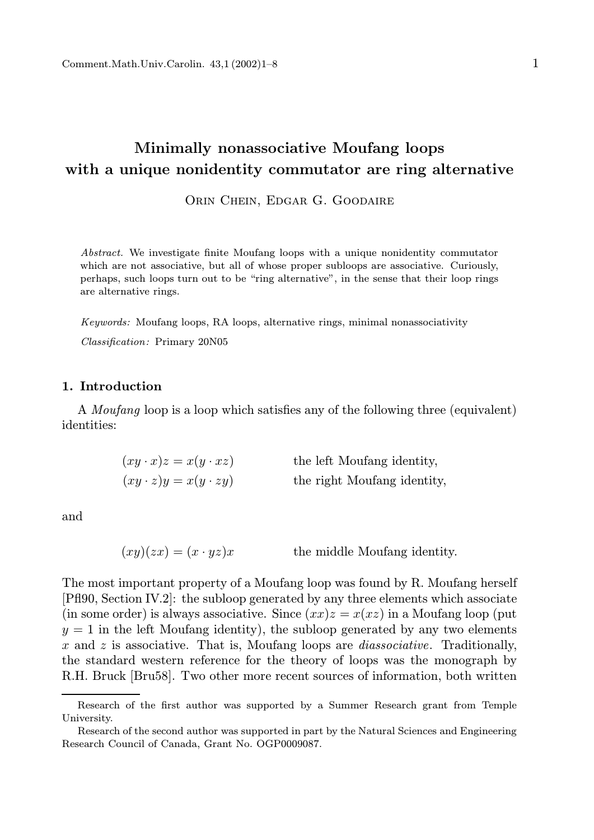# Minimally nonassociative Moufang loops with a unique nonidentity commutator are ring alternative

Orin Chein, Edgar G. Goodaire

Abstract. We investigate finite Moufang loops with a unique nonidentity commutator which are not associative, but all of whose proper subloops are associative. Curiously, perhaps, such loops turn out to be "ring alternative", in the sense that their loop rings are alternative rings.

Keywords: Moufang loops, RA loops, alternative rings, minimal nonassociativity Classification: Primary 20N05

## 1. Introduction

A Moufang loop is a loop which satisfies any of the following three (equivalent) identities:

| $(xy \cdot x)z = x(y \cdot xz)$ | the left Moufang identity,  |
|---------------------------------|-----------------------------|
| $(xy \cdot z)y = x(y \cdot zy)$ | the right Moufang identity, |

and

 $(xy)(zx) = (x \cdot yz)x$  the middle Moufang identity.

The most important property of a Moufang loop was found by R. Moufang herself [Pfl90, Section IV.2]: the subloop generated by any three elements which associate (in some order) is always associative. Since  $(xx)z = x(xz)$  in a Moufang loop (put  $y = 1$  in the left Moufang identity), the subloop generated by any two elements x and z is associative. That is, Moufang loops are *diassociative*. Traditionally, the standard western reference for the theory of loops was the monograph by R.H. Bruck [Bru58]. Two other more recent sources of information, both written

Research of the first author was supported by a Summer Research grant from Temple University.

Research of the second author was supported in part by the Natural Sciences and Engineering Research Council of Canada, Grant No. OGP0009087.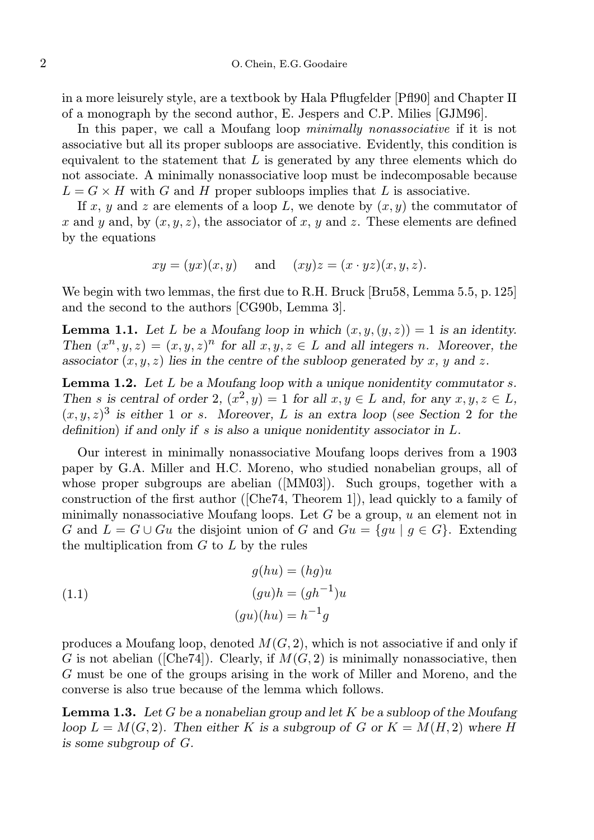in a more leisurely style, are a textbook by Hala Pflugfelder [Pfl90] and Chapter II of a monograph by the second author, E. Jespers and C.P. Milies [GJM96].

In this paper, we call a Moufang loop *minimally nonassociative* if it is not associative but all its proper subloops are associative. Evidently, this condition is equivalent to the statement that  $L$  is generated by any three elements which do not associate. A minimally nonassociative loop must be indecomposable because  $L = G \times H$  with G and H proper subloops implies that L is associative.

If x, y and z are elements of a loop L, we denote by  $(x, y)$  the commutator of x and y and, by  $(x, y, z)$ , the associator of x, y and z. These elements are defined by the equations

$$
xy = (yx)(x, y)
$$
 and  $(xy)z = (x \cdot yz)(x, y, z)$ .

We begin with two lemmas, the first due to R.H. Bruck [Bru58, Lemma 5.5, p. 125] and the second to the authors [CG90b, Lemma 3].

**Lemma 1.1.** Let L be a Moufang loop in which  $(x, y, (y, z)) = 1$  is an identity. Then  $(x^n, y, z) = (x, y, z)^n$  for all  $x, y, z \in L$  and all integers n. Moreover, the associator  $(x, y, z)$  lies in the centre of the subloop generated by x, y and z.

Lemma 1.2. Let L be a Moufang loop with a unique nonidentity commutator s. Then s is central of order 2,  $(x^2, y) = 1$  for all  $x, y \in L$  and, for any  $x, y, z \in L$ ,  $(x, y, z)^3$  is either 1 or s. Moreover, L is an extra loop (see Section 2 for the definition) if and only if s is also a unique nonidentity associator in L.

Our interest in minimally nonassociative Moufang loops derives from a 1903 paper by G.A. Miller and H.C. Moreno, who studied nonabelian groups, all of whose proper subgroups are abelian ([MM03]). Such groups, together with a construction of the first author ([Che74, Theorem 1]), lead quickly to a family of minimally nonassociative Moufang loops. Let  $G$  be a group,  $u$  an element not in G and  $L = G \cup Gu$  the disjoint union of G and  $Gu = \{ gu | g \in G \}$ . Extending the multiplication from  $G$  to  $L$  by the rules

(1.1) 
$$
g(hu) = (hg)u
$$

$$
(gu)h = (gh^{-1})u
$$

$$
(gu)(hu) = h^{-1}g
$$

produces a Moufang loop, denoted  $M(G, 2)$ , which is not associative if and only if G is not abelian ([Che74]). Clearly, if  $M(G, 2)$  is minimally nonassociative, then G must be one of the groups arising in the work of Miller and Moreno, and the converse is also true because of the lemma which follows.

**Lemma 1.3.** Let G be a nonabelian group and let K be a subloop of the Moufang loop  $L = M(G, 2)$ . Then either K is a subgroup of G or  $K = M(H, 2)$  where H is some subgroup of G.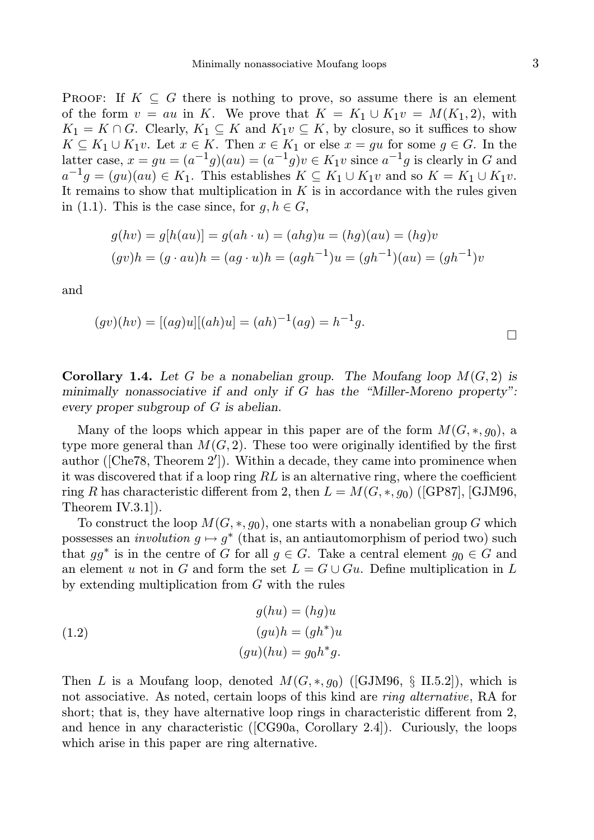**PROOF:** If  $K \subseteq G$  there is nothing to prove, so assume there is an element of the form  $v = au$  in K. We prove that  $K = K_1 \cup K_1v = M(K_1, 2)$ , with  $K_1 = K \cap G$ . Clearly,  $K_1 \subseteq K$  and  $K_1 v \subseteq K$ , by closure, so it suffices to show  $K \subseteq K_1 \cup K_1v$ . Let  $x \in K$ . Then  $x \in K_1$  or else  $x = gu$  for some  $g \in G$ . In the latter case,  $x = gu = (a^{-1}g)(au) = (a^{-1}g)v \in K_1v$  since  $a^{-1}g$  is clearly in G and  $a^{-1}g = (gu)(au) \in K_1$ . This establishes  $K \subseteq K_1 \cup K_1v$  and so  $K = K_1 \cup K_1v$ . It remains to show that multiplication in  $K$  is in accordance with the rules given in (1.1). This is the case since, for  $q, h \in G$ ,

$$
g(hv) = g[h(au)] = g(ah \cdot u) = (ahg)u = (hg)(au) = (hg)v
$$
  
( $gv)h = (g \cdot au)h = (ag \cdot u)h = (agh^{-1})u = (gh^{-1})(au) = (gh^{-1})v$ 

and

$$
(gv)(hv) = [(ag)u][(ah)u] = (ah)^{-1}(ag) = h^{-1}g.
$$

**Corollary 1.4.** Let G be a nonabelian group. The Moufang loop  $M(G, 2)$  is minimally nonassociative if and only if G has the "Miller-Moreno property": every proper subgroup of G is abelian.

Many of the loops which appear in this paper are of the form  $M(G, *, g_0)$ , a type more general than  $M(G, 2)$ . These too were originally identified by the first author ([Che78, Theorem 2′ ]). Within a decade, they came into prominence when it was discovered that if a loop ring  $RL$  is an alternative ring, where the coefficient ring R has characteristic different from 2, then  $L = M(G, *, g_0)$  ([GP87], [GJM96, Theorem IV.3.1]).

To construct the loop  $M(G, *, g_0)$ , one starts with a nonabelian group G which possesses an *involution*  $g \mapsto g^*$  (that is, an antiautomorphism of period two) such that  $gg^*$  is in the centre of G for all  $g \in G$ . Take a central element  $g_0 \in G$  and an element u not in G and form the set  $L = G \cup Gu$ . Define multiplication in L by extending multiplication from  $G$  with the rules

(1.2) 
$$
g(hu) = (hg)u
$$

$$
(gu)h = (gh^*)u
$$

$$
(gu)(hu) = g_0h^*g.
$$

Then L is a Moufang loop, denoted  $M(G, *, g_0)$  ([GJM96, § II.5.2]), which is not associative. As noted, certain loops of this kind are ring alternative, RA for short; that is, they have alternative loop rings in characteristic different from 2, and hence in any characteristic ([CG90a, Corollary 2.4]). Curiously, the loops which arise in this paper are ring alternative.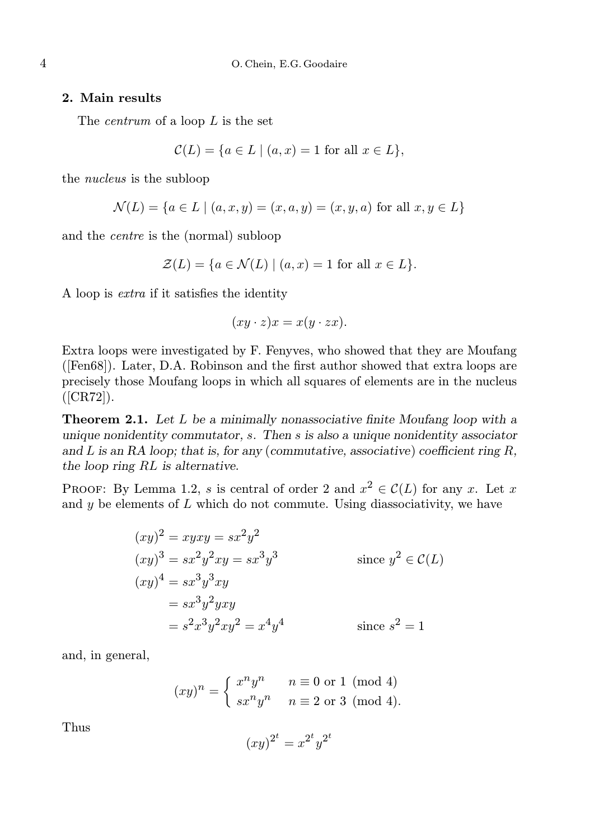### 2. Main results

The *centrum* of a loop L is the set

$$
\mathcal{C}(L) = \{ a \in L \mid (a, x) = 1 \text{ for all } x \in L \},
$$

the nucleus is the subloop

$$
\mathcal{N}(L) = \{ a \in L \mid (a, x, y) = (x, a, y) = (x, y, a) \text{ for all } x, y \in L \}
$$

and the centre is the (normal) subloop

$$
\mathcal{Z}(L) = \{ a \in \mathcal{N}(L) \mid (a, x) = 1 \text{ for all } x \in L \}.
$$

A loop is extra if it satisfies the identity

$$
(xy \cdot z)x = x(y \cdot zx).
$$

Extra loops were investigated by F. Fenyves, who showed that they are Moufang ([Fen68]). Later, D.A. Robinson and the first author showed that extra loops are precisely those Moufang loops in which all squares of elements are in the nucleus  $([CR72]).$ 

**Theorem 2.1.** Let L be a minimally nonassociative finite Moufang loop with a unique nonidentity commutator, s. Then s is also a unique nonidentity associator and  $L$  is an RA loop; that is, for any (commutative, associative) coefficient ring  $R$ , the loop ring RL is alternative.

PROOF: By Lemma 1.2, s is central of order 2 and  $x^2 \in \mathcal{C}(L)$  for any x. Let x and  $y$  be elements of  $L$  which do not commute. Using diassociativity, we have

$$
(xy)^2 = xyxy = sx^2y^2
$$
  
\n
$$
(xy)^3 = sx^2y^2xy = sx^3y^3
$$
 since  $y^2 \in C(L)$   
\n
$$
(xy)^4 = sx^3y^3xy
$$
  
\n
$$
= s^3y^2yxy
$$
  
\n
$$
= s^2x^3y^2xy^2 = x^4y^4
$$
 since  $s^2 = 1$ 

and, in general,

$$
(xy)^n = \begin{cases} x^n y^n & n \equiv 0 \text{ or } 1 \pmod{4} \\ sx^n y^n & n \equiv 2 \text{ or } 3 \pmod{4}. \end{cases}
$$

Thus

$$
(xy)^{2^t} = x^{2^t}y^{2^t}
$$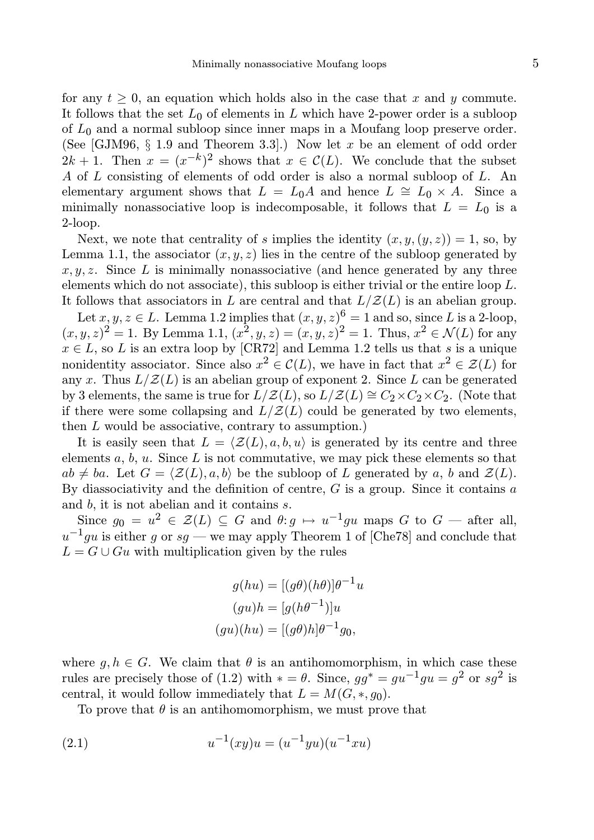for any  $t > 0$ , an equation which holds also in the case that x and y commute. It follows that the set  $L_0$  of elements in L which have 2-power order is a subloop of  $L_0$  and a normal subloop since inner maps in a Moufang loop preserve order. (See [GJM96,  $\S$  1.9 and Theorem 3.3].) Now let x be an element of odd order  $2k+1$ . Then  $x = (x^{-k})^2$  shows that  $x \in \mathcal{C}(L)$ . We conclude that the subset A of L consisting of elements of odd order is also a normal subloop of L. An elementary argument shows that  $L = L_0A$  and hence  $L \cong L_0 \times A$ . Since a minimally nonassociative loop is indecomposable, it follows that  $L = L_0$  is a 2-loop.

Next, we note that centrality of s implies the identity  $(x, y, (y, z)) = 1$ , so, by Lemma 1.1, the associator  $(x, y, z)$  lies in the centre of the subloop generated by  $x, y, z$ . Since L is minimally nonassociative (and hence generated by any three elements which do not associate), this subloop is either trivial or the entire loop L. It follows that associators in L are central and that  $L/Z(L)$  is an abelian group.

Let  $x, y, z \in L$ . Lemma 1.2 implies that  $(x, y, z)^6 = 1$  and so, since L is a 2-loop,  $(x, y, z)^2 = 1$ . By Lemma 1.1,  $(x^2, y, z) = (x, y, z)^2 = 1$ . Thus,  $x^2 \in \mathcal{N}(L)$  for any  $x \in L$ , so L is an extra loop by [CR72] and Lemma 1.2 tells us that s is a unique nonidentity associator. Since also  $x^2 \in \mathcal{C}(L)$ , we have in fact that  $x^2 \in \mathcal{Z}(L)$  for any x. Thus  $L/Z(L)$  is an abelian group of exponent 2. Since L can be generated by 3 elements, the same is true for  $L/Z(L)$ , so  $L/Z(L) \cong C_2 \times C_2 \times C_2$ . (Note that if there were some collapsing and  $L/Z(L)$  could be generated by two elements, then L would be associative, contrary to assumption.)

It is easily seen that  $L = \langle \mathcal{Z}(L), a, b, u \rangle$  is generated by its centre and three elements  $a, b, u$ . Since  $L$  is not commutative, we may pick these elements so that  $ab \neq ba$ . Let  $G = \langle \mathcal{Z}(L), a, b \rangle$  be the subloop of L generated by a, b and  $\mathcal{Z}(L)$ . By diassociativity and the definition of centre,  $G$  is a group. Since it contains  $a$ and b, it is not abelian and it contains s.

Since  $g_0 = u^2 \in \mathcal{Z}(L) \subseteq G$  and  $\theta: g \mapsto u^{-1}gu$  maps G to  $G$  — after all,  $u^{-1}gu$  is either g or sg — we may apply Theorem 1 of [Che78] and conclude that  $L = G \cup Gu$  with multiplication given by the rules

$$
g(hu) = [(g\theta)(h\theta)]\theta^{-1}u
$$

$$
(gu)h = [g(h\theta^{-1})]u
$$

$$
(gu)(hu) = [(g\theta)h]\theta^{-1}g_0,
$$

where  $g, h \in G$ . We claim that  $\theta$  is an antihomomorphism, in which case these rules are precisely those of (1.2) with  $* = \theta$ . Since,  $gg^* = gu^{-1}gu = g^2$  or  $sg^2$  is central, it would follow immediately that  $L = M(G, *, g_0)$ .

To prove that  $\theta$  is an antihomomorphism, we must prove that

(2.1) 
$$
u^{-1}(xy)u = (u^{-1}yu)(u^{-1}xu)
$$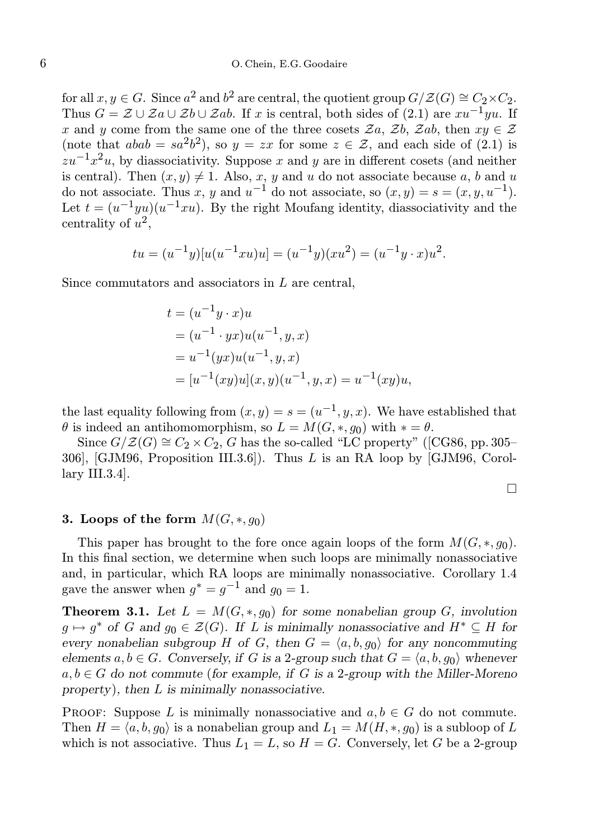for all  $x, y \in G$ . Since  $a^2$  and  $b^2$  are central, the quotient group  $G/\mathcal{Z}(G) \cong C_2 \times C_2$ . Thus  $G = \mathcal{Z} \cup \mathcal{Z} a \cup \mathcal{Z} b \cup \mathcal{Z} ab$ . If x is central, both sides of (2.1) are  $xu^{-1}yu$ . If x and y come from the same one of the three cosets  $\mathcal{Z}_a$ ,  $\mathcal{Z}_b$ ,  $\mathcal{Z}_a$ ,  $\mathcal{Z}_b$ , then  $xy \in \mathcal{Z}$ (note that  $abab = sa^2b^2$ ), so  $y = zx$  for some  $z \in \mathcal{Z}$ , and each side of (2.1) is  $\sum_{x} x^{-1}x^2u$ , by diassociativity. Suppose x and y are in different cosets (and neither is central). Then  $(x, y) \neq 1$ . Also, x, y and u do not associate because a, b and u do not associate. Thus x, y and  $u^{-1}$  do not associate, so  $(x, y) = s = (x, y, u^{-1})$ . Let  $t = (u^{-1}yu)(u^{-1}xu)$ . By the right Moufang identity, diassociativity and the centrality of  $u^2$ ,

$$
tu = (u^{-1}y)[u(u^{-1}xu)u] = (u^{-1}y)(xu^2) = (u^{-1}y \cdot x)u^2.
$$

Since commutators and associators in L are central,

$$
t = (u^{-1}y \cdot x)u
$$
  
=  $(u^{-1} \cdot yx)u(u^{-1}, y, x)$   
=  $u^{-1}(yx)u(u^{-1}, y, x)$   
=  $[u^{-1}(xy)u](x, y)(u^{-1}, y, x) = u^{-1}(xy)u,$ 

the last equality following from  $(x, y) = s = (u^{-1}, y, x)$ . We have established that  $\theta$  is indeed an antihomomorphism, so  $L = M(G, *, g_0)$  with  $* = \theta$ .

Since  $G/Z(G) \cong C_2 \times C_2$ , G has the so-called "LC property" ([CG86, pp. 305– 306], [GJM96, Proposition III.3.6]). Thus L is an RA loop by [GJM96, Corollary III.3.4].

#### 3. Loops of the form  $M(G, *, q_0)$

This paper has brought to the fore once again loops of the form  $M(G, *, q_0)$ . In this final section, we determine when such loops are minimally nonassociative and, in particular, which RA loops are minimally nonassociative. Corollary 1.4 gave the answer when  $g^* = g^{-1}$  and  $g_0 = 1$ .

**Theorem 3.1.** Let  $L = M(G, \ast, g_0)$  for some nonabelian group G, involution  $g \mapsto g^*$  of G and  $g_0 \in \mathcal{Z}(G)$ . If L is minimally nonassociative and  $H^* \subseteq H$  for every nonabelian subgroup H of G, then  $G = \langle a, b, g_0 \rangle$  for any noncommuting elements  $a, b \in G$ . Conversely, if G is a 2-group such that  $G = \langle a, b, q_0 \rangle$  whenever  $a, b \in G$  do not commute (for example, if G is a 2-group with the Miller-Moreno property), then L is minimally nonassociative.

PROOF: Suppose L is minimally nonassociative and  $a, b \in G$  do not commute. Then  $H = \langle a, b, g_0 \rangle$  is a nonabelian group and  $L_1 = M(H, *, g_0)$  is a subloop of L which is not associative. Thus  $L_1 = L$ , so  $H = G$ . Conversely, let G be a 2-group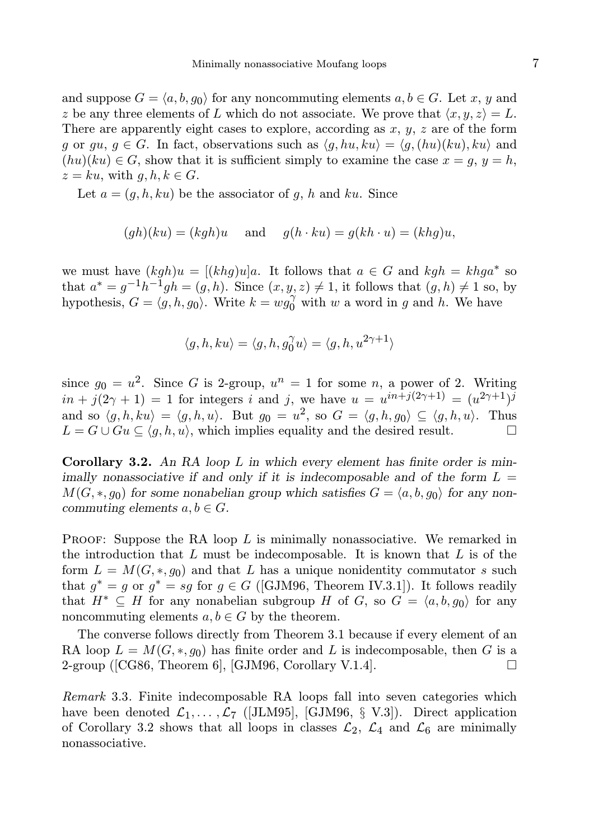and suppose  $G = \langle a, b, q_0 \rangle$  for any noncommuting elements  $a, b \in G$ . Let x, y and z be any three elements of L which do not associate. We prove that  $\langle x, y, z \rangle = L$ . There are apparently eight cases to explore, according as  $x, y, z$  are of the form g or gu,  $g \in G$ . In fact, observations such as  $\langle g, hu, ku \rangle = \langle g, (hu)(ku), ku \rangle$  and  $(hu)(ku) \in G$ , show that it is sufficient simply to examine the case  $x = g$ ,  $y = h$ ,  $z = ku$ , with  $q, h, k \in G$ .

Let  $a = (g, h, ku)$  be the associator of g, h and ku. Since

$$
(gh)(ku) = (kgh)u
$$
 and  $g(h \cdot ku) = g(kh \cdot u) = (khg)u$ ,

we must have  $(kgh)u = [(khg)u]a$ . It follows that  $a \in G$  and  $kgh = khga^*$  so that  $a^* = g^{-1}h^{-1}gh = (g, h)$ . Since  $(x, y, z) \neq 1$ , it follows that  $(g, h) \neq 1$  so, by hypothesis,  $G = \langle g, h, g_0 \rangle$ . Write  $k = wg_0^{\gamma}$  with w a word in g and h. We have

$$
\langle g,h,ku\rangle=\langle g,h,g_0^\gamma u\rangle=\langle g,h,u^{2\gamma+1}\rangle
$$

since  $g_0 = u^2$ . Since G is 2-group,  $u^n = 1$  for some n, a power of 2. Writing  $in + j(2\gamma + 1) = 1$  for integers i and j, we have  $u = u^{in+j(2\gamma+1)} = (u^{2\gamma+1})^{j}$ and so  $\langle g, h, ku \rangle = \langle g, h, u \rangle$ . But  $g_0 = u^2$ , so  $G = \langle g, h, g_0 \rangle \subseteq \langle g, h, u \rangle$ . Thus  $L = G \cup Gu \subseteq \langle q, h, u \rangle$ , which implies equality and the desired result.

**Corollary 3.2.** An RA loop  $L$  in which every element has finite order is minimally nonassociative if and only if it is indecomposable and of the form  $L =$  $M(G, *, g_0)$  for some nonabelian group which satisfies  $G = \langle a, b, g_0 \rangle$  for any noncommuting elements  $a, b \in G$ .

**PROOF:** Suppose the RA loop  $L$  is minimally nonassociative. We remarked in the introduction that  $L$  must be indecomposable. It is known that  $L$  is of the form  $L = M(G, \ast, q_0)$  and that L has a unique nonidentity commutator s such that  $g^* = g$  or  $g^* = sg$  for  $g \in G$  ([GJM96, Theorem IV.3.1]). It follows readily that  $H^* \subseteq H$  for any nonabelian subgroup H of G, so  $G = \langle a, b, g_0 \rangle$  for any noncommuting elements  $a, b \in G$  by the theorem.

The converse follows directly from Theorem 3.1 because if every element of an RA loop  $L = M(G, *, g_0)$  has finite order and L is indecomposable, then G is a  $2$ -group ([CG86, Theorem 6], [GJM96, Corollary V.1.4].

Remark 3.3. Finite indecomposable RA loops fall into seven categories which have been denoted  $\mathcal{L}_1, \ldots, \mathcal{L}_7$  ([JLM95], [GJM96, § V.3]). Direct application of Corollary 3.2 shows that all loops in classes  $\mathcal{L}_2$ ,  $\mathcal{L}_4$  and  $\mathcal{L}_6$  are minimally nonassociative.